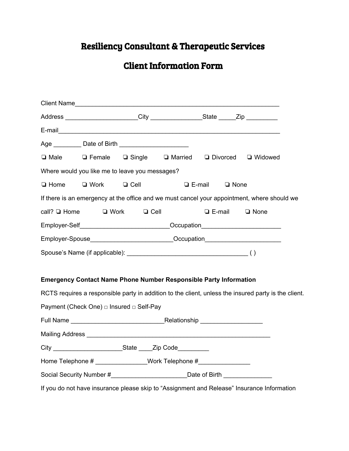# Resiliency Consultant & Therapeutic Services

## Client Information Form

|                                                                                   | Client Name                                                                                          |                         |                                                                                  |                        |               |               |             |  |
|-----------------------------------------------------------------------------------|------------------------------------------------------------------------------------------------------|-------------------------|----------------------------------------------------------------------------------|------------------------|---------------|---------------|-------------|--|
| Address _______________________City ___________________State ______Zip __________ |                                                                                                      |                         |                                                                                  |                        |               |               |             |  |
|                                                                                   |                                                                                                      |                         |                                                                                  |                        |               |               |             |  |
|                                                                                   | Age ____________ Date of Birth __________________________                                            |                         |                                                                                  |                        |               |               |             |  |
|                                                                                   | □ Male □ Female □ Single □ Married □ Divorced □ Widowed                                              |                         |                                                                                  |                        |               |               |             |  |
|                                                                                   | Where would you like me to leave you messages?                                                       |                         |                                                                                  |                        |               |               |             |  |
| $\Box$ Home<br>$\Box$ Work                                                        |                                                                                                      | $\Box$ Cell             |                                                                                  |                        | $\Box$ E-mail | $\Box$ None   |             |  |
|                                                                                   | If there is an emergency at the office and we must cancel your appointment, where should we          |                         |                                                                                  |                        |               |               |             |  |
| call? $\Box$ Home                                                                 |                                                                                                      | $\Box$ Work $\Box$ Cell |                                                                                  |                        |               | $\Box$ E-mail | $\Box$ None |  |
| Employer-Self______________________________Occupation___________________________  |                                                                                                      |                         |                                                                                  |                        |               |               |             |  |
|                                                                                   | Employer-Spouse___________________________Occupation____________________________                     |                         |                                                                                  |                        |               |               |             |  |
|                                                                                   |                                                                                                      |                         |                                                                                  |                        |               |               |             |  |
|                                                                                   |                                                                                                      |                         |                                                                                  |                        |               |               |             |  |
|                                                                                   | <b>Emergency Contact Name Phone Number Responsible Party Information</b>                             |                         |                                                                                  |                        |               |               |             |  |
|                                                                                   | RCTS requires a responsible party in addition to the client, unless the insured party is the client. |                         |                                                                                  |                        |               |               |             |  |
|                                                                                   | Payment (Check One) □ Insured □ Self-Pay                                                             |                         |                                                                                  |                        |               |               |             |  |
|                                                                                   |                                                                                                      |                         |                                                                                  |                        |               |               |             |  |
|                                                                                   | Mailing Address <b>Mailing Address Mailing Address Mailing Address Mailing Address</b>               |                         |                                                                                  |                        |               |               |             |  |
| City                                                                              |                                                                                                      | State                   |                                                                                  | _Zip Code <sub>.</sub> |               |               |             |  |
|                                                                                   | Home Telephone # _________________Work Telephone #______________________________                     |                         |                                                                                  |                        |               |               |             |  |
|                                                                                   |                                                                                                      |                         | Social Security Number #____________________________Date of Birth ______________ |                        |               |               |             |  |
|                                                                                   | If you do not have insurance please skip to "Assignment and Release" Insurance Information           |                         |                                                                                  |                        |               |               |             |  |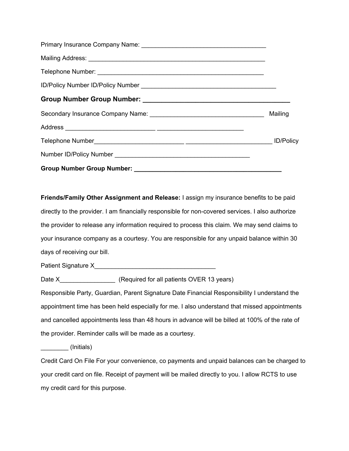**Friends/Family Other Assignment and Release:** I assign my insurance benefits to be paid directly to the provider. I am financially responsible for non-covered services. I also authorize the provider to release any information required to process this claim. We may send claims to your insurance company as a courtesy. You are responsible for any unpaid balance within 30 days of receiving our bill.

Patient Signature X\_\_\_\_\_\_\_\_\_\_\_\_\_\_\_\_\_\_\_\_\_\_\_\_\_\_\_\_\_\_\_\_\_\_\_

Date X Gearnical CREQuired for all patients OVER 13 years)

Responsible Party, Guardian, Parent Signature Date Financial Responsibility I understand the appointment time has been held especially for me. I also understand that missed appointments and cancelled appointments less than 48 hours in advance will be billed at 100% of the rate of the provider. Reminder calls will be made as a courtesy.

\_\_\_\_\_\_\_\_ (Initials)

Credit Card On File For your convenience, co payments and unpaid balances can be charged to your credit card on file. Receipt of payment will be mailed directly to you. I allow RCTS to use my credit card for this purpose.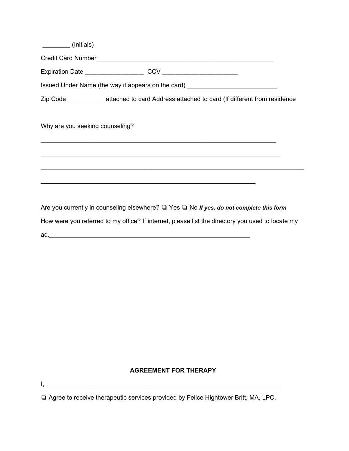| (Initials)                                                                                       |
|--------------------------------------------------------------------------------------------------|
|                                                                                                  |
|                                                                                                  |
| Issued Under Name (the way it appears on the card) _____________________________                 |
| Zip Code ____________attached to card Address attached to card (If different from residence      |
| Why are you seeking counseling?                                                                  |
| ,我们也不能在这里的人,我们也不能在这里的人,我们也不能在这里的人,我们也不能在这里的人,我们也不能在这里的人,我们也不能在这里的人,我们也不能在这里的人,我们也                |
|                                                                                                  |
| <u> 1989 - Johann Stoff, amerikansk politiker (d. 1989)</u>                                      |
|                                                                                                  |
| Are you currently in counseling elsewhere? □ Yes □ No If yes, do not complete this form          |
| How were you referred to my office? If internet, please list the directory you used to locate my |
|                                                                                                  |

### **AGREEMENT FOR THERAPY**

❏ Agree to receive therapeutic services provided by Felice Hightower Britt, MA, LPC.

 $\mathsf{I},\_\_$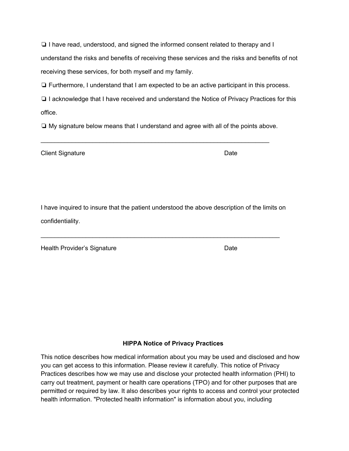❏ I have read, understood, and signed the informed consent related to therapy and I understand the risks and benefits of receiving these services and the risks and benefits of not receiving these services, for both myself and my family.

❏ Furthermore, I understand that I am expected to be an active participant in this process.

❏ I acknowledge that I have received and understand the Notice of Privacy Practices for this office.

❏ My signature below means that I understand and agree with all of the points above.

\_\_\_\_\_\_\_\_\_\_\_\_\_\_\_\_\_\_\_\_\_\_\_\_\_\_\_\_\_\_\_\_\_\_\_\_\_\_\_\_\_\_\_\_\_\_\_\_\_\_\_\_\_\_\_\_\_\_\_\_\_\_\_\_\_\_

Client Signature Date Date

I have inquired to insure that the patient understood the above description of the limits on confidentiality.

\_\_\_\_\_\_\_\_\_\_\_\_\_\_\_\_\_\_\_\_\_\_\_\_\_\_\_\_\_\_\_\_\_\_\_\_\_\_\_\_\_\_\_\_\_\_\_\_\_\_\_\_\_\_\_\_\_\_\_\_\_\_\_\_\_\_\_\_\_

Health Provider's Signature **Date** Date

#### **HIPPA Notice of Privacy Practices**

This notice describes how medical information about you may be used and disclosed and how you can get access to this information. Please review it carefully. This notice of Privacy Practices describes how we may use and disclose your protected health information (PHI) to carry out treatment, payment or health care operations (TPO) and for other purposes that are permitted or required by law. It also describes your rights to access and control your protected health information. "Protected health information" is information about you, including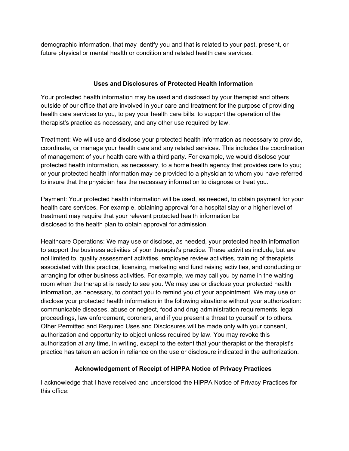demographic information, that may identify you and that is related to your past, present, or future physical or mental health or condition and related health care services.

#### **Uses and Disclosures of Protected Health Information**

Your protected health information may be used and disclosed by your therapist and others outside of our office that are involved in your care and treatment for the purpose of providing health care services to you, to pay your health care bills, to support the operation of the therapist's practice as necessary, and any other use required by law.

Treatment: We will use and disclose your protected health information as necessary to provide, coordinate, or manage your health care and any related services. This includes the coordination of management of your health care with a third party. For example, we would disclose your protected health information, as necessary, to a home health agency that provides care to you; or your protected health information may be provided to a physician to whom you have referred to insure that the physician has the necessary information to diagnose or treat you.

Payment: Your protected health information will be used, as needed, to obtain payment for your health care services. For example, obtaining approval for a hospital stay or a higher level of treatment may require that your relevant protected health information be disclosed to the health plan to obtain approval for admission.

Healthcare Operations: We may use or disclose, as needed, your protected health information to support the business activities of your therapist's practice. These activities include, but are not limited to, quality assessment activities, employee review activities, training of therapists associated with this practice, licensing, marketing and fund raising activities, and conducting or arranging for other business activities. For example, we may call you by name in the waiting room when the therapist is ready to see you. We may use or disclose your protected health information, as necessary, to contact you to remind you of your appointment. We may use or disclose your protected health information in the following situations without your authorization: communicable diseases, abuse or neglect, food and drug administration requirements, legal proceedings, law enforcement, coroners, and if you present a threat to yourself or to others. Other Permitted and Required Uses and Disclosures will be made only with your consent, authorization and opportunity to object unless required by law. You may revoke this authorization at any time, in writing, except to the extent that your therapist or the therapist's practice has taken an action in reliance on the use or disclosure indicated in the authorization.

#### **Acknowledgement of Receipt of HIPPA Notice of Privacy Practices**

I acknowledge that I have received and understood the HIPPA Notice of Privacy Practices for this office: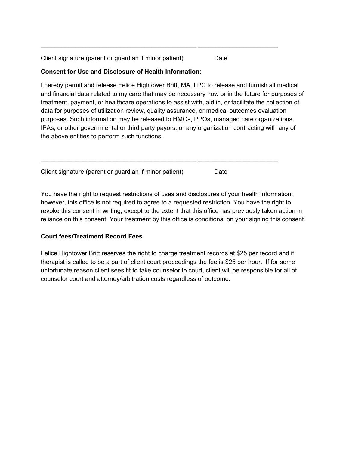Client signature (parent or guardian if minor patient) Date

#### **Consent for Use and Disclosure of Health Information:**

I hereby permit and release Felice Hightower Britt, MA, LPC to release and furnish all medical and financial data related to my care that may be necessary now or in the future for purposes of treatment, payment, or healthcare operations to assist with, aid in, or facilitate the collection of data for purposes of utilization review, quality assurance, or medical outcomes evaluation purposes. Such information may be released to HMOs, PPOs, managed care organizations, IPAs, or other governmental or third party payors, or any organization contracting with any of the above entities to perform such functions.

\_\_\_\_\_\_\_\_\_\_\_\_\_\_\_\_\_\_\_\_\_\_\_\_\_\_\_\_\_\_\_\_\_\_\_\_\_\_\_\_\_\_\_\_\_ \_\_\_\_\_\_\_\_\_\_\_\_\_\_\_\_\_\_\_\_\_\_\_

Client signature (parent or guardian if minor patient) Date

\_\_\_\_\_\_\_\_\_\_\_\_\_\_\_\_\_\_\_\_\_\_\_\_\_\_\_\_\_\_\_\_\_\_\_\_\_\_\_\_\_\_\_\_\_ \_\_\_\_\_\_\_\_\_\_\_\_\_\_\_\_\_\_\_\_\_\_\_

You have the right to request restrictions of uses and disclosures of your health information; however, this office is not required to agree to a requested restriction. You have the right to revoke this consent in writing, except to the extent that this office has previously taken action in reliance on this consent. Your treatment by this office is conditional on your signing this consent.

#### **Court fees/Treatment Record Fees**

Felice Hightower Britt reserves the right to charge treatment records at \$25 per record and if therapist is called to be a part of client court proceedings the fee is \$25 per hour. If for some unfortunate reason client sees fit to take counselor to court, client will be responsible for all of counselor court and attorney/arbitration costs regardless of outcome.